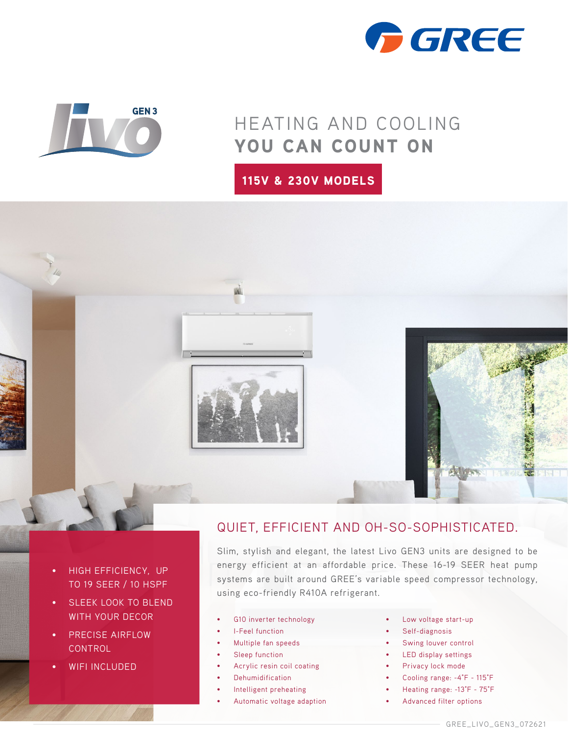



## HEATING AND COOLING YOU CAN COUNT ON

115V & 230V MODELS



- HIGH EFFICIENCY, UP TO 19 SEER / 10 HSPF
- SLEEK LOOK TO BLEND WITH YOUR DECOR
- PRECISE AIRFLOW CONTROL
- WIFI INCLUDED

## QUIET, EFFICIENT AND OH-SO-SOPHISTICATED.

Slim, stylish and elegant, the latest Livo GEN3 units are designed to be energy efficient at an affordable price. These 16-19 SEER heat pump systems are built around GREE's variable speed compressor technology, using eco-friendly R410A refrigerant.

- G10 inverter technology
- I-Feel function
- Multiple fan speeds
- Sleep function
- Acrylic resin coil coating
- **Dehumidification**
- Intelligent preheating
- Automatic voltage adaption
- Low voltage start-up
- Self-diagnosis
- Swing louver control
- LED display settings
- Privacy lock mode
- Cooling range: -4°F 115°F
- Heating range: -13°F 75°F
- Advanced filter options